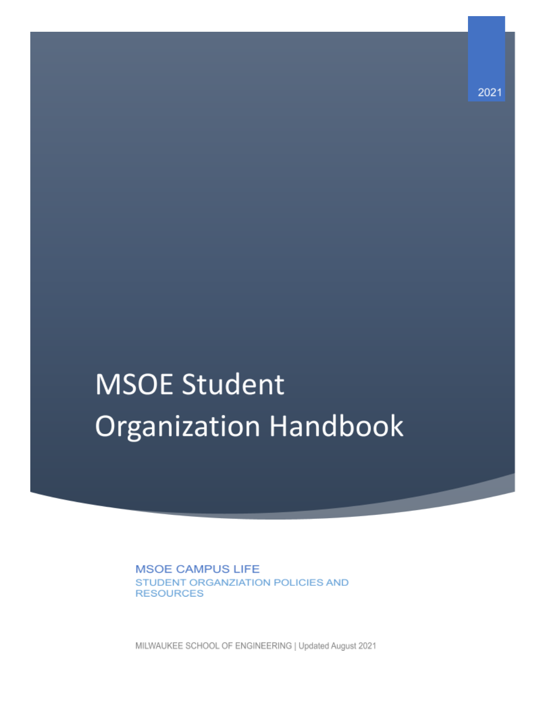# **MSOE Student Organization Handbook**

**MSOE CAMPUS LIFE** STUDENT ORGANZIATION POLICIES AND **RESOURCES** 

MILWAUKEE SCHOOL OF ENGINEERING | Updated August 2021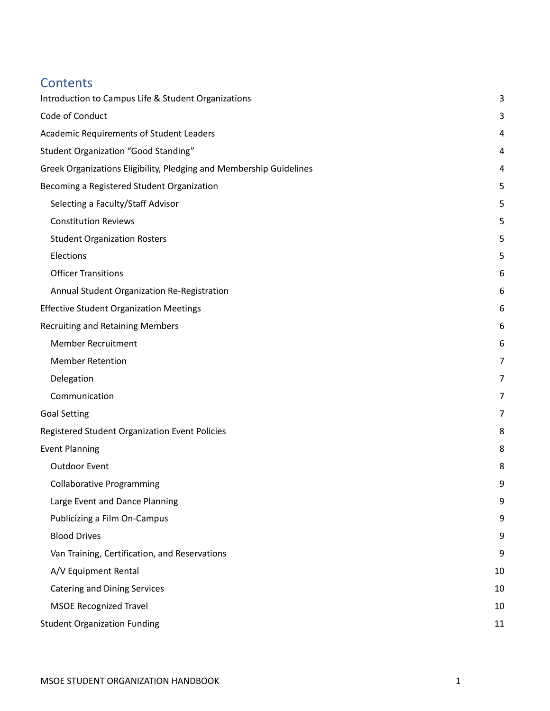## **Contents**

| Introduction to Campus Life & Student Organizations                 |    |
|---------------------------------------------------------------------|----|
| Code of Conduct                                                     | 3  |
| Academic Requirements of Student Leaders                            | 4  |
| Student Organization "Good Standing"                                | 4  |
| Greek Organizations Eligibility, Pledging and Membership Guidelines | 4  |
| Becoming a Registered Student Organization                          | 5  |
| Selecting a Faculty/Staff Advisor                                   | 5  |
| <b>Constitution Reviews</b>                                         | 5  |
| <b>Student Organization Rosters</b>                                 | 5  |
| Elections                                                           | 5  |
| <b>Officer Transitions</b>                                          | 6  |
| Annual Student Organization Re-Registration                         | 6  |
| <b>Effective Student Organization Meetings</b>                      | 6  |
| <b>Recruiting and Retaining Members</b>                             | 6  |
| <b>Member Recruitment</b>                                           | 6  |
| <b>Member Retention</b>                                             | 7  |
| Delegation                                                          | 7  |
| Communication                                                       | 7  |
| <b>Goal Setting</b>                                                 | 7  |
| Registered Student Organization Event Policies                      | 8  |
| <b>Event Planning</b>                                               | 8  |
| <b>Outdoor Event</b>                                                | 8  |
| <b>Collaborative Programming</b>                                    | 9  |
| Large Event and Dance Planning                                      | 9  |
| Publicizing a Film On-Campus                                        | 9  |
| <b>Blood Drives</b>                                                 | 9  |
| Van Training, Certification, and Reservations                       | 9  |
| A/V Equipment Rental                                                | 10 |
| <b>Catering and Dining Services</b>                                 | 10 |
| <b>MSOE Recognized Travel</b>                                       | 10 |
| <b>Student Organization Funding</b>                                 | 11 |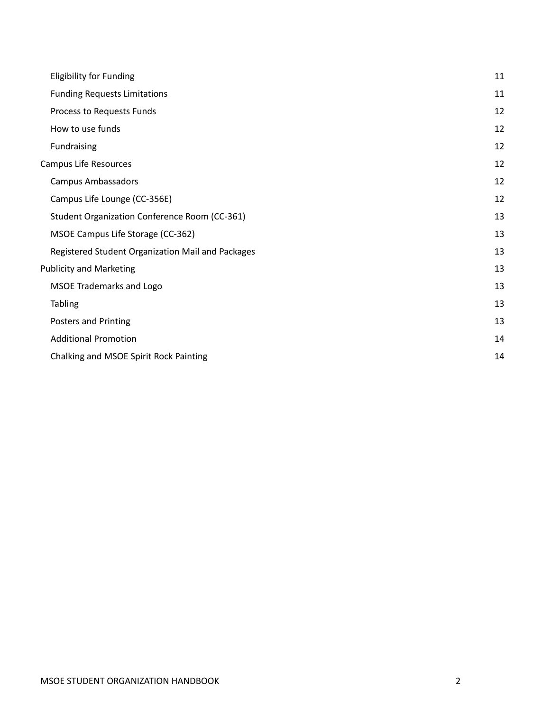| <b>Eligibility for Funding</b>                    | 11 |
|---------------------------------------------------|----|
| <b>Funding Requests Limitations</b>               | 11 |
| Process to Requests Funds                         | 12 |
| How to use funds                                  | 12 |
| Fundraising                                       | 12 |
| Campus Life Resources                             | 12 |
| <b>Campus Ambassadors</b>                         | 12 |
| Campus Life Lounge (CC-356E)                      | 12 |
| Student Organization Conference Room (CC-361)     | 13 |
| MSOE Campus Life Storage (CC-362)                 | 13 |
| Registered Student Organization Mail and Packages | 13 |
| <b>Publicity and Marketing</b>                    | 13 |
| <b>MSOE Trademarks and Logo</b>                   | 13 |
| <b>Tabling</b>                                    | 13 |
| Posters and Printing                              | 13 |
| <b>Additional Promotion</b>                       | 14 |
| Chalking and MSOE Spirit Rock Painting            | 14 |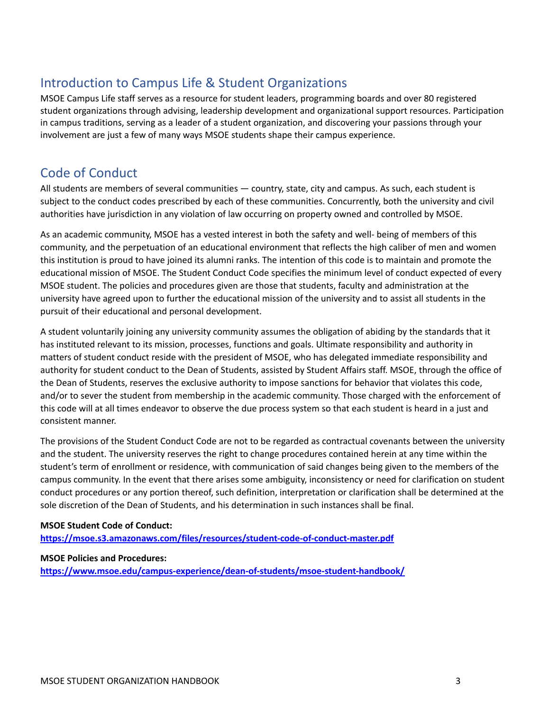# <span id="page-3-0"></span>Introduction to Campus Life & Student Organizations

MSOE Campus Life staff serves as a resource for student leaders, programming boards and over 80 registered student organizations through advising, leadership development and organizational support resources. Participation in campus traditions, serving as a leader of a student organization, and discovering your passions through your involvement are just a few of many ways MSOE students shape their campus experience.

## <span id="page-3-1"></span>Code of Conduct

All students are members of several communities — country, state, city and campus. As such, each student is subject to the conduct codes prescribed by each of these communities. Concurrently, both the university and civil authorities have jurisdiction in any violation of law occurring on property owned and controlled by MSOE.

As an academic community, MSOE has a vested interest in both the safety and well- being of members of this community, and the perpetuation of an educational environment that reflects the high caliber of men and women this institution is proud to have joined its alumni ranks. The intention of this code is to maintain and promote the educational mission of MSOE. The Student Conduct Code specifies the minimum level of conduct expected of every MSOE student. The policies and procedures given are those that students, faculty and administration at the university have agreed upon to further the educational mission of the university and to assist all students in the pursuit of their educational and personal development.

A student voluntarily joining any university community assumes the obligation of abiding by the standards that it has instituted relevant to its mission, processes, functions and goals. Ultimate responsibility and authority in matters of student conduct reside with the president of MSOE, who has delegated immediate responsibility and authority for student conduct to the Dean of Students, assisted by Student Affairs staff. MSOE, through the office of the Dean of Students, reserves the exclusive authority to impose sanctions for behavior that violates this code, and/or to sever the student from membership in the academic community. Those charged with the enforcement of this code will at all times endeavor to observe the due process system so that each student is heard in a just and consistent manner.

The provisions of the Student Conduct Code are not to be regarded as contractual covenants between the university and the student. The university reserves the right to change procedures contained herein at any time within the student's term of enrollment or residence, with communication of said changes being given to the members of the campus community. In the event that there arises some ambiguity, inconsistency or need for clarification on student conduct procedures or any portion thereof, such definition, interpretation or clarification shall be determined at the sole discretion of the Dean of Students, and his determination in such instances shall be final.

#### **MSOE Student Code of Conduct:**

**<https://msoe.s3.amazonaws.com/files/resources/student-code-of-conduct-master.pdf>**

#### **MSOE Policies and Procedures:**

**<https://www.msoe.edu/campus-experience/dean-of-students/msoe-student-handbook/>**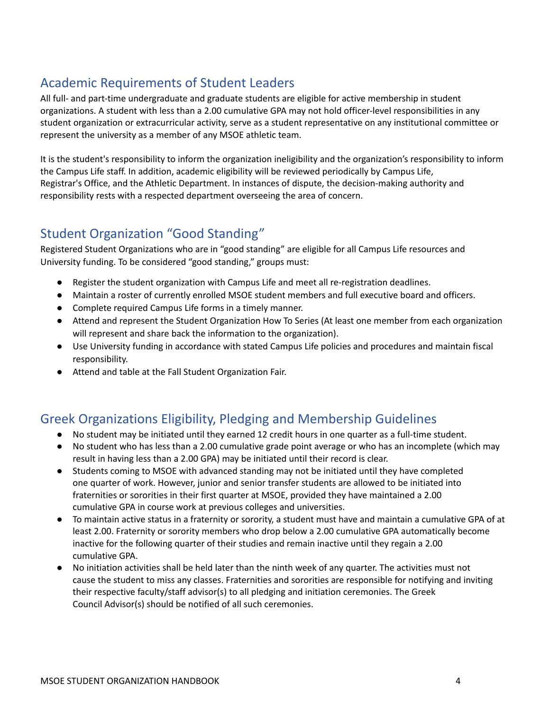# <span id="page-4-0"></span>Academic Requirements of Student Leaders

All full- and part-time undergraduate and graduate students are eligible for active membership in student organizations. A student with less than a 2.00 cumulative GPA may not hold officer-level responsibilities in any student organization or extracurricular activity, serve as a student representative on any institutional committee or represent the university as a member of any MSOE athletic team.

It is the student's responsibility to inform the organization ineligibility and the organization's responsibility to inform the Campus Life staff. In addition, academic eligibility will be reviewed periodically by Campus Life, Registrar's Office, and the Athletic Department. In instances of dispute, the decision-making authority and responsibility rests with a respected department overseeing the area of concern.

# <span id="page-4-1"></span>Student Organization "Good Standing"

Registered Student Organizations who are in "good standing" are eligible for all Campus Life resources and University funding. To be considered "good standing," groups must:

- Register the student organization with Campus Life and meet all re-registration deadlines.
- Maintain a roster of currently enrolled MSOE student members and full executive board and officers.
- Complete required Campus Life forms in a timely manner.
- Attend and represent the Student Organization How To Series (At least one member from each organization will represent and share back the information to the organization).
- Use University funding in accordance with stated Campus Life policies and procedures and maintain fiscal responsibility.
- Attend and table at the Fall Student Organization Fair.

# <span id="page-4-2"></span>Greek Organizations Eligibility, Pledging and Membership Guidelines

- **●** No student may be initiated until they earned 12 credit hours in one quarter as a full-time student.
- **●** No student who has less than a 2.00 cumulative grade point average or who has an incomplete (which may result in having less than a 2.00 GPA) may be initiated until their record is clear.
- **●** Students coming to MSOE with advanced standing may not be initiated until they have completed one quarter of work. However, junior and senior transfer students are allowed to be initiated into fraternities or sororities in their first quarter at MSOE, provided they have maintained a 2.00 cumulative GPA in course work at previous colleges and universities.
- **●** To maintain active status in a fraternity or sorority, a student must have and maintain a cumulative GPA of at least 2.00. Fraternity or sorority members who drop below a 2.00 cumulative GPA automatically become inactive for the following quarter of their studies and remain inactive until they regain a 2.00 cumulative GPA.
- **●** No initiation activities shall be held later than the ninth week of any quarter. The activities must not cause the student to miss any classes. Fraternities and sororities are responsible for notifying and inviting their respective faculty/staff advisor(s) to all pledging and initiation ceremonies. The Greek Council Advisor(s) should be notified of all such ceremonies.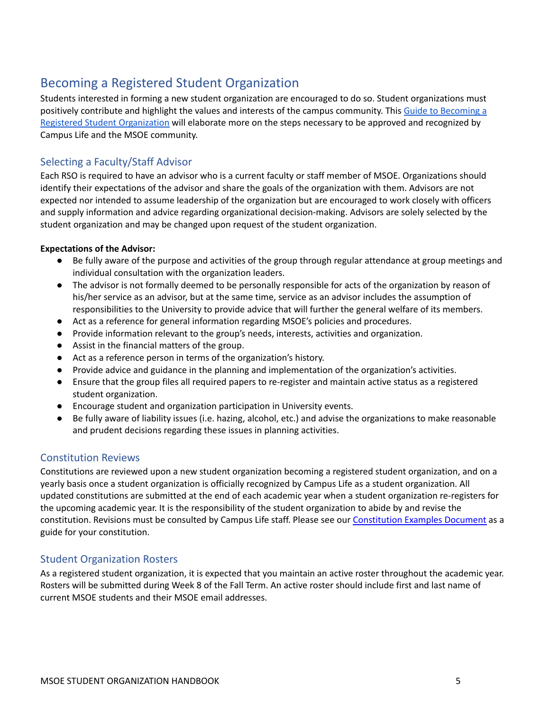# <span id="page-5-0"></span>Becoming a Registered Student Organization

Students interested in forming a new student organization are encouraged to do so. Student organizations must positively contribute and highlight the values and interests of the campus community. This Guide to [Becoming](https://docs.google.com/document/d/19DsPy5coYs4VAdWcvzA0ShJf7jHp8ydX7jjXVPko9gU/edit?usp=sharing) a Registered Student [Organization](https://docs.google.com/document/d/19DsPy5coYs4VAdWcvzA0ShJf7jHp8ydX7jjXVPko9gU/edit?usp=sharing) will elaborate more on the steps necessary to be approved and recognized by Campus Life and the MSOE community.

#### <span id="page-5-1"></span>Selecting a Faculty/Staff Advisor

Each RSO is required to have an advisor who is a current faculty or staff member of MSOE. Organizations should identify their expectations of the advisor and share the goals of the organization with them. Advisors are not expected nor intended to assume leadership of the organization but are encouraged to work closely with officers and supply information and advice regarding organizational decision-making. Advisors are solely selected by the student organization and may be changed upon request of the student organization.

#### **Expectations of the Advisor:**

- Be fully aware of the purpose and activities of the group through regular attendance at group meetings and individual consultation with the organization leaders.
- The advisor is not formally deemed to be personally responsible for acts of the organization by reason of his/her service as an advisor, but at the same time, service as an advisor includes the assumption of responsibilities to the University to provide advice that will further the general welfare of its members.
- Act as a reference for general information regarding MSOE's policies and procedures.
- Provide information relevant to the group's needs, interests, activities and organization.
- Assist in the financial matters of the group.
- Act as a reference person in terms of the organization's history.
- Provide advice and guidance in the planning and implementation of the organization's activities.
- Ensure that the group files all required papers to re-register and maintain active status as a registered student organization.
- Encourage student and organization participation in University events.
- Be fully aware of liability issues (i.e. hazing, alcohol, etc.) and advise the organizations to make reasonable and prudent decisions regarding these issues in planning activities.

#### <span id="page-5-2"></span>Constitution Reviews

Constitutions are reviewed upon a new student organization becoming a registered student organization, and on a yearly basis once a student organization is officially recognized by Campus Life as a student organization. All updated constitutions are submitted at the end of each academic year when a student organization re-registers for the upcoming academic year. It is the responsibility of the student organization to abide by and revise the constitution. Revisions must be consulted by Campus Life staff. Please see our [Constitution](https://docs.google.com/document/d/1bPmr0H9PNvT71iWiHiQg46pe1yzO9WJR7e6-4ZDCvVQ/edit?usp=sharing) Examples Document as a guide for your constitution.

#### <span id="page-5-3"></span>Student Organization Rosters

As a registered student organization, it is expected that you maintain an active roster throughout the academic year. Rosters will be submitted during Week 8 of the Fall Term. An active roster should include first and last name of current MSOE students and their MSOE email addresses.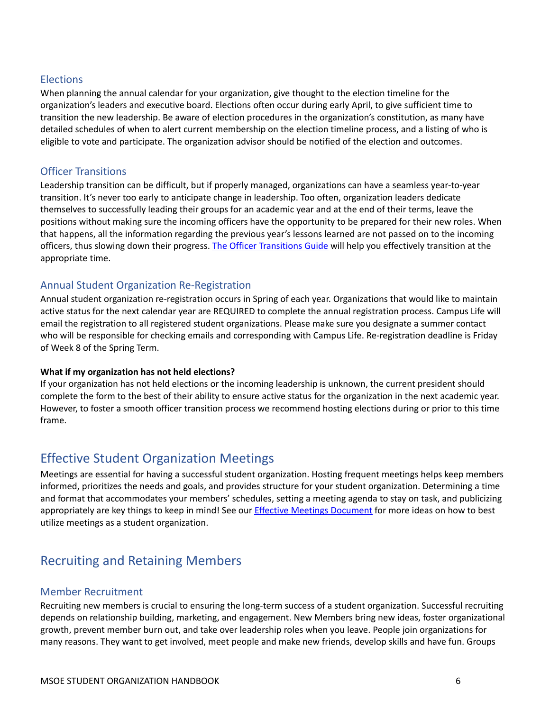#### <span id="page-6-0"></span>**Elections**

When planning the annual calendar for your organization, give thought to the election timeline for the organization's leaders and executive board. Elections often occur during early April, to give sufficient time to transition the new leadership. Be aware of election procedures in the organization's constitution, as many have detailed schedules of when to alert current membership on the election timeline process, and a listing of who is eligible to vote and participate. The organization advisor should be notified of the election and outcomes.

#### <span id="page-6-1"></span>Officer Transitions

Leadership transition can be difficult, but if properly managed, organizations can have a seamless year-to-year transition. It's never too early to anticipate change in leadership. Too often, organization leaders dedicate themselves to successfully leading their groups for an academic year and at the end of their terms, leave the positions without making sure the incoming officers have the opportunity to be prepared for their new roles. When that happens, all the information regarding the previous year's lessons learned are not passed on to the incoming officers, thus slowing down their progress. The Officer [Transitions](https://docs.google.com/document/d/1ro7crmC_VgvM7sYoMjQqxQlnIl3eCAq7SDaLo3bKSpc/edit?usp=sharing) Guide will help you effectively transition at the appropriate time.

#### <span id="page-6-2"></span>Annual Student Organization Re-Registration

Annual student organization re-registration occurs in Spring of each year. Organizations that would like to maintain active status for the next calendar year are REQUIRED to complete the annual registration process. Campus Life will email the registration to all registered student organizations. Please make sure you designate a summer contact who will be responsible for checking emails and corresponding with Campus Life. Re-registration deadline is Friday of Week 8 of the Spring Term.

#### **What if my organization has not held elections?**

If your organization has not held elections or the incoming leadership is unknown, the current president should complete the form to the best of their ability to ensure active status for the organization in the next academic year. However, to foster a smooth officer transition process we recommend hosting elections during or prior to this time frame.

## <span id="page-6-3"></span>Effective Student Organization Meetings

Meetings are essential for having a successful student organization. Hosting frequent meetings helps keep members informed, prioritizes the needs and goals, and provides structure for your student organization. Determining a time and format that accommodates your members' schedules, setting a meeting agenda to stay on task, and publicizing appropriately are key things to keep in mind! See our **Effective Meetings [Document](https://docs.google.com/document/d/1fHtaWt4kvfDHKX13nYYO9qw8wNRbfC7IhOCNZyIn6ik/edit?usp=sharing)** for more ideas on how to best utilize meetings as a student organization.

## <span id="page-6-4"></span>Recruiting and Retaining Members

#### <span id="page-6-5"></span>Member Recruitment

Recruiting new members is crucial to ensuring the long-term success of a student organization. Successful recruiting depends on relationship building, marketing, and engagement. New Members bring new ideas, foster organizational growth, prevent member burn out, and take over leadership roles when you leave. People join organizations for many reasons. They want to get involved, meet people and make new friends, develop skills and have fun. Groups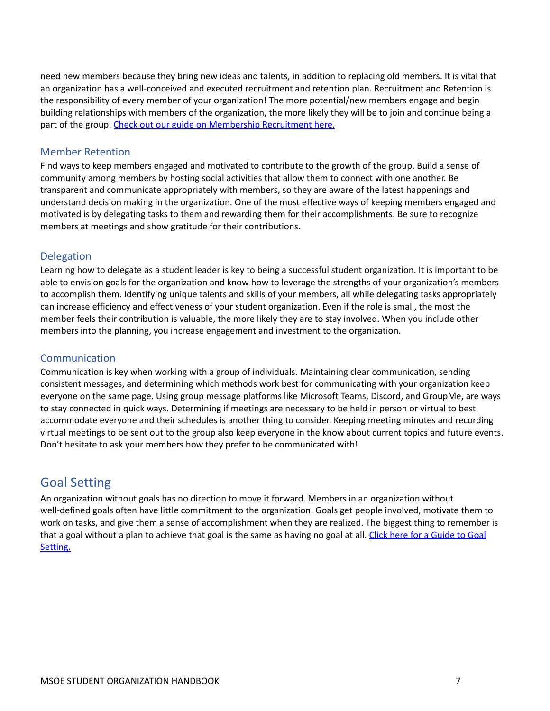need new members because they bring new ideas and talents, in addition to replacing old members. It is vital that an organization has a well-conceived and executed recruitment and retention plan. Recruitment and Retention is the responsibility of every member of your organization! The more potential/new members engage and begin building relationships with members of the organization, the more likely they will be to join and continue being a part of the group. Check out our guide on [Membership](https://docs.google.com/document/d/17juJd63FUKb4WlMJ9rsb9hQp-sCszuRFErPlQaBa5zE/edit?usp=sharing) Recruitment here.

#### <span id="page-7-0"></span>Member Retention

Find ways to keep members engaged and motivated to contribute to the growth of the group. Build a sense of community among members by hosting social activities that allow them to connect with one another. Be transparent and communicate appropriately with members, so they are aware of the latest happenings and understand decision making in the organization. One of the most effective ways of keeping members engaged and motivated is by delegating tasks to them and rewarding them for their accomplishments. Be sure to recognize members at meetings and show gratitude for their contributions.

#### <span id="page-7-1"></span>Delegation

Learning how to delegate as a student leader is key to being a successful student organization. It is important to be able to envision goals for the organization and know how to leverage the strengths of your organization's members to accomplish them. Identifying unique talents and skills of your members, all while delegating tasks appropriately can increase efficiency and effectiveness of your student organization. Even if the role is small, the most the member feels their contribution is valuable, the more likely they are to stay involved. When you include other members into the planning, you increase engagement and investment to the organization.

#### <span id="page-7-2"></span>Communication

Communication is key when working with a group of individuals. Maintaining clear communication, sending consistent messages, and determining which methods work best for communicating with your organization keep everyone on the same page. Using group message platforms like Microsoft Teams, Discord, and GroupMe, are ways to stay connected in quick ways. Determining if meetings are necessary to be held in person or virtual to best accommodate everyone and their schedules is another thing to consider. Keeping meeting minutes and recording virtual meetings to be sent out to the group also keep everyone in the know about current topics and future events. Don't hesitate to ask your members how they prefer to be communicated with!

## <span id="page-7-3"></span>Goal Setting

An organization without goals has no direction to move it forward. Members in an organization without well-defined goals often have little commitment to the organization. Goals get people involved, motivate them to work on tasks, and give them a sense of accomplishment when they are realized. The biggest thing to remember is that a goal without a plan to achieve that goal is the same as having no goal at all. Click here for a [Guide](https://docs.google.com/document/d/1oW1OgXAmf1fcje5qclKuWlMfydZr8z84PnEZLaE02_Y/edit?usp=sharing) to Goal [Setting.](https://docs.google.com/document/d/1oW1OgXAmf1fcje5qclKuWlMfydZr8z84PnEZLaE02_Y/edit?usp=sharing)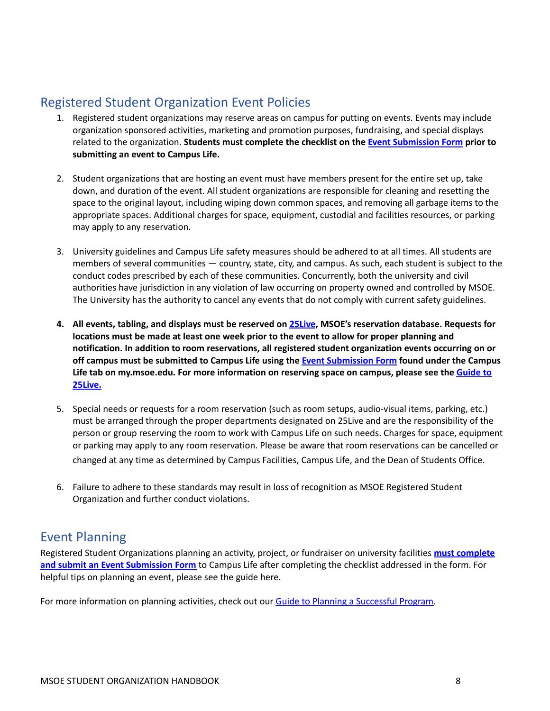## <span id="page-8-0"></span>Registered Student Organization Event Policies

- 1. Registered student organizations may reserve areas on campus for putting on events. Events may include organization sponsored activities, marketing and promotion purposes, fundraising, and special displays related to the organization. **Students must complete the checklist on the Event [Submission](https://docs.google.com/document/d/1OkG_kNSgA-ZGgbrPsBGRaMgeCMTCG-6sTLVrwTUxfSI/edit?usp=sharing) Form prior to submitting an event to Campus Life.**
- 2. Student organizations that are hosting an event must have members present for the entire set up, take down, and duration of the event. All student organizations are responsible for cleaning and resetting the space to the original layout, including wiping down common spaces, and removing all garbage items to the appropriate spaces. Additional charges for space, equipment, custodial and facilities resources, or parking may apply to any reservation.
- 3. University guidelines and Campus Life safety measures should be adhered to at all times. All students are members of several communities — country, state, city, and campus. As such, each student is subject to the conduct codes prescribed by each of these communities. Concurrently, both the university and civil authorities have jurisdiction in any violation of law occurring on property owned and controlled by MSOE. The University has the authority to cancel any events that do not comply with current safety guidelines.
- **4. All events, tabling, and displays must be reserved on 25Live, MSOE's reservation database. Requests for locations must be made at least one week prior to the event to allow for proper planning and notification. In addition to room reservations, all registered student organization events occurring on or off campus must be submitted to Campus Life using the Event [Submission](https://docs.google.com/document/d/1OkG_kNSgA-ZGgbrPsBGRaMgeCMTCG-6sTLVrwTUxfSI/edit?usp=sharing) Form found under the Campus Life tab on my.msoe.edu. For more information on reserving space on campus, please see the [Guide](https://docs.google.com/document/d/1No7Kvxd3c6IAdUiv8WWXQRblSUsit9ulJ7fvu4cyn8s/edit?usp=sharing) to [25Live.](https://docs.google.com/document/d/1No7Kvxd3c6IAdUiv8WWXQRblSUsit9ulJ7fvu4cyn8s/edit?usp=sharing)**
- 5. Special needs or requests for a room reservation (such as room setups, audio-visual items, parking, etc.) must be arranged through the proper departments designated on 25Live and are the responsibility of the person or group reserving the room to work with Campus Life on such needs. Charges for space, equipment or parking may apply to any room reservation. Please be aware that room reservations can be cancelled or changed at any time as determined by Campus Facilities, Campus Life, and the Dean of Students Office.
- 6. Failure to adhere to these standards may result in loss of recognition as MSOE Registered Student Organization and further conduct violations.

## <span id="page-8-1"></span>Event Planning

Registered Student Organizations planning an activity, project, or fundraiser on university facilities **must [complete](https://docs.google.com/document/d/1OkG_kNSgA-ZGgbrPsBGRaMgeCMTCG-6sTLVrwTUxfSI/edit?usp=sharing) and submit an Event [Submission](https://docs.google.com/document/d/1OkG_kNSgA-ZGgbrPsBGRaMgeCMTCG-6sTLVrwTUxfSI/edit?usp=sharing) Form** to Campus Life after completing the checklist addressed in the form. For helpful tips on planning an event, please see the guide here.

For more information on planning activities, check out our Guide to Planning a [Successful](https://docs.google.com/document/d/160zdt5NVqfBBLJy20Bdk13ZJy6fkLabVQNT4YYDaxgA/edit?usp=sharing) Program.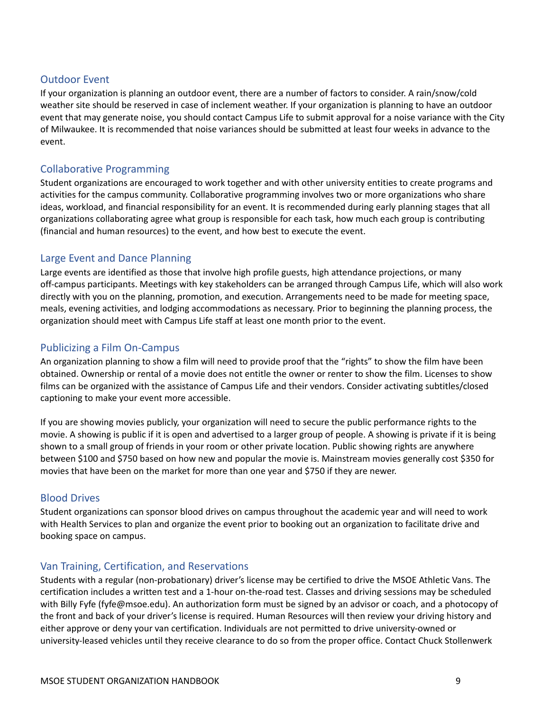#### <span id="page-9-0"></span>Outdoor Event

If your organization is planning an outdoor event, there are a number of factors to consider. A rain/snow/cold weather site should be reserved in case of inclement weather. If your organization is planning to have an outdoor event that may generate noise, you should contact Campus Life to submit approval for a noise variance with the City of Milwaukee. It is recommended that noise variances should be submitted at least four weeks in advance to the event.

#### <span id="page-9-1"></span>Collaborative Programming

Student organizations are encouraged to work together and with other university entities to create programs and activities for the campus community. Collaborative programming involves two or more organizations who share ideas, workload, and financial responsibility for an event. It is recommended during early planning stages that all organizations collaborating agree what group is responsible for each task, how much each group is contributing (financial and human resources) to the event, and how best to execute the event.

#### <span id="page-9-2"></span>Large Event and Dance Planning

Large events are identified as those that involve high profile guests, high attendance projections, or many off-campus participants. Meetings with key stakeholders can be arranged through Campus Life, which will also work directly with you on the planning, promotion, and execution. Arrangements need to be made for meeting space, meals, evening activities, and lodging accommodations as necessary. Prior to beginning the planning process, the organization should meet with Campus Life staff at least one month prior to the event.

#### <span id="page-9-3"></span>Publicizing a Film On-Campus

An organization planning to show a film will need to provide proof that the "rights" to show the film have been obtained. Ownership or rental of a movie does not entitle the owner or renter to show the film. Licenses to show films can be organized with the assistance of Campus Life and their vendors. Consider activating subtitles/closed captioning to make your event more accessible.

If you are showing movies publicly, your organization will need to secure the public performance rights to the movie. A showing is public if it is open and advertised to a larger group of people. A showing is private if it is being shown to a small group of friends in your room or other private location. Public showing rights are anywhere between \$100 and \$750 based on how new and popular the movie is. Mainstream movies generally cost \$350 for movies that have been on the market for more than one year and \$750 if they are newer.

#### <span id="page-9-4"></span>Blood Drives

Student organizations can sponsor blood drives on campus throughout the academic year and will need to work with Health Services to plan and organize the event prior to booking out an organization to facilitate drive and booking space on campus.

#### <span id="page-9-5"></span>Van Training, Certification, and Reservations

Students with a regular (non-probationary) driver's license may be certified to drive the MSOE Athletic Vans. The certification includes a written test and a 1-hour on-the-road test. Classes and driving sessions may be scheduled with Billy Fyfe (fyfe@msoe.edu). An authorization form must be signed by an advisor or coach, and a photocopy of the front and back of your driver's license is required. Human Resources will then review your driving history and either approve or deny your van certification. Individuals are not permitted to drive university-owned or university-leased vehicles until they receive clearance to do so from the proper office. Contact Chuck Stollenwerk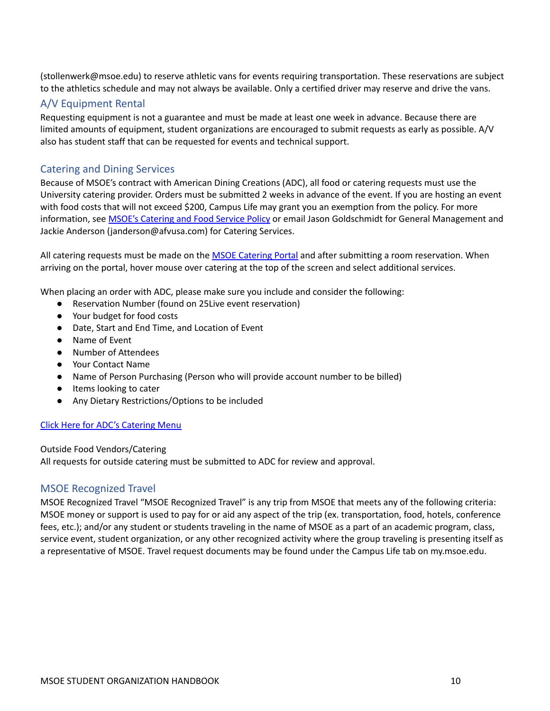(stollenwerk@msoe.edu) to reserve athletic vans for events requiring transportation. These reservations are subject to the athletics schedule and may not always be available. Only a certified driver may reserve and drive the vans.

#### <span id="page-10-0"></span>A/V Equipment Rental

Requesting equipment is not a guarantee and must be made at least one week in advance. Because there are limited amounts of equipment, student organizations are encouraged to submit requests as early as possible. A/V also has student staff that can be requested for events and technical support.

#### <span id="page-10-1"></span>Catering and Dining Services

Because of MSOE's contract with American Dining Creations (ADC), all food or catering requests must use the University catering provider. Orders must be submitted 2 weeks in advance of the event. If you are hosting an event with food costs that will not exceed \$200, Campus Life may grant you an exemption from the policy. For more information, see MSOE's [Catering](https://my.msoe.edu/ICS/icsfs/1.0.016_Catering_and_Food_Service.pdf?target=2bb02739-62b7-4e8c-8a58-1e9a9e61954d) and Food Service Policy or email Jason Goldschmidt for General Management and Jackie Anderson (janderson@afvusa.com) for Catering Services.

All catering requests must be made on the MSOE [Catering](https://milwaukeeschoolofengineering.catertrax.com/) Portal and after submitting a room reservation. When arriving on the portal, hover mouse over catering at the top of the screen and select additional services.

When placing an order with ADC, please make sure you include and consider the following:

- Reservation Number (found on 25Live event reservation)
- Your budget for food costs
- Date, Start and End Time, and Location of Event
- Name of Event
- Number of Attendees
- Your Contact Name
- Name of Person Purchasing (Person who will provide account number to be billed)
- Items looking to cater
- Any Dietary Restrictions/Options to be included

#### Click Here for ADC's [Catering](https://msoe.s3.amazonaws.com/files/resources/catering-guide-msoe-website.pdf) Menu

#### Outside Food Vendors/Catering

All requests for outside catering must be submitted to ADC for review and approval.

#### <span id="page-10-2"></span>MSOE Recognized Travel

MSOE Recognized Travel "MSOE Recognized Travel" is any trip from MSOE that meets any of the following criteria: MSOE money or support is used to pay for or aid any aspect of the trip (ex. transportation, food, hotels, conference fees, etc.); and/or any student or students traveling in the name of MSOE as a part of an academic program, class, service event, student organization, or any other recognized activity where the group traveling is presenting itself as a representative of MSOE. Travel request documents may be found under the Campus Life tab on my.msoe.edu.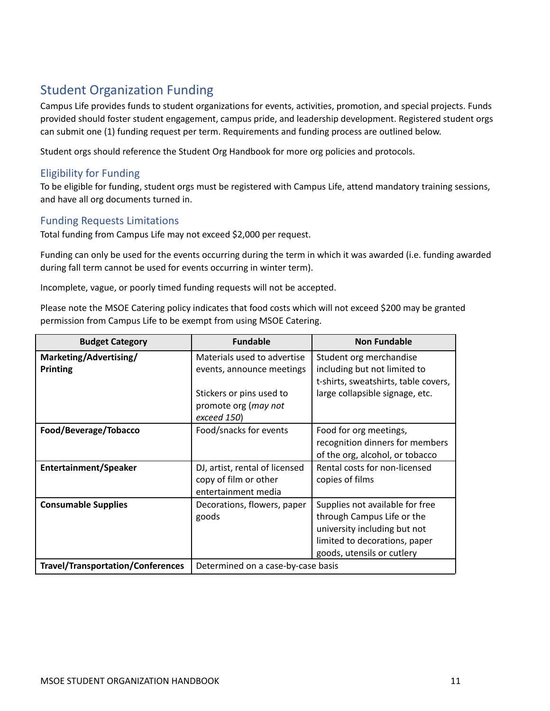# <span id="page-11-0"></span>Student Organization Funding

Campus Life provides funds to student organizations for events, activities, promotion, and special projects. Funds provided should foster student engagement, campus pride, and leadership development. Registered student orgs can submit one (1) funding request per term. Requirements and funding process are outlined below.

Student orgs should reference the Student Org Handbook for more org policies and protocols.

#### <span id="page-11-1"></span>Eligibility for Funding

To be eligible for funding, student orgs must be registered with Campus Life, attend mandatory training sessions, and have all org documents turned in.

#### <span id="page-11-2"></span>Funding Requests Limitations

Total funding from Campus Life may not exceed \$2,000 per request.

Funding can only be used for the events occurring during the term in which it was awarded (i.e. funding awarded during fall term cannot be used for events occurring in winter term).

Incomplete, vague, or poorly timed funding requests will not be accepted.

Please note the MSOE Catering policy indicates that food costs which will not exceed \$200 may be granted permission from Campus Life to be exempt from using MSOE Catering.

| <b>Budget Category</b>                   | <b>Fundable</b>                                                                | <b>Non Fundable</b>                                                                                                                                          |
|------------------------------------------|--------------------------------------------------------------------------------|--------------------------------------------------------------------------------------------------------------------------------------------------------------|
| Marketing/Advertising/<br>Printing       | Materials used to advertise<br>events, announce meetings                       | Student org merchandise<br>including but not limited to<br>t-shirts, sweatshirts, table covers,                                                              |
|                                          | Stickers or pins used to<br>promote org (may not<br>exceed 150)                | large collapsible signage, etc.                                                                                                                              |
| Food/Beverage/Tobacco                    | Food/snacks for events                                                         | Food for org meetings,<br>recognition dinners for members<br>of the org, alcohol, or tobacco                                                                 |
| Entertainment/Speaker                    | DJ, artist, rental of licensed<br>copy of film or other<br>entertainment media | Rental costs for non-licensed<br>copies of films                                                                                                             |
| <b>Consumable Supplies</b>               | Decorations, flowers, paper<br>goods                                           | Supplies not available for free<br>through Campus Life or the<br>university including but not<br>limited to decorations, paper<br>goods, utensils or cutlery |
| <b>Travel/Transportation/Conferences</b> | Determined on a case-by-case basis                                             |                                                                                                                                                              |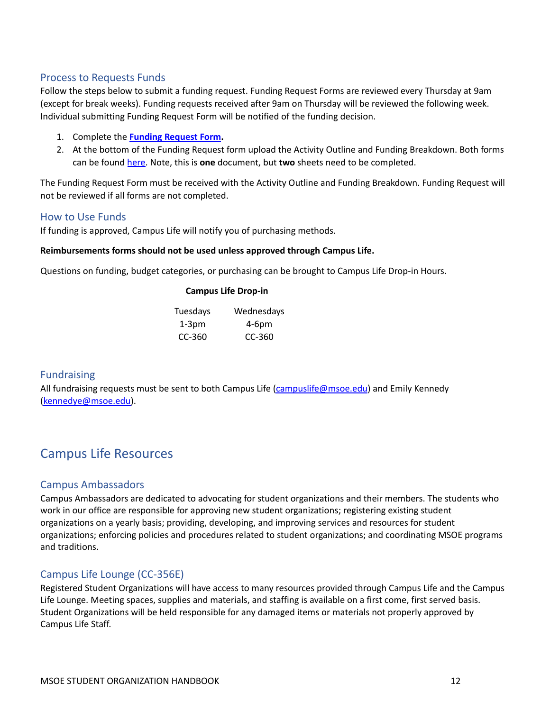#### <span id="page-12-0"></span>Process to Requests Funds

Follow the steps below to submit a funding request. Funding Request Forms are reviewed every Thursday at 9am (except for break weeks). Funding requests received after 9am on Thursday will be reviewed the following week. Individual submitting Funding Request Form will be notified of the funding decision.

- 1. Complete the **Funding [Request](https://docs.google.com/forms/d/e/1FAIpQLScsOEm89oS0uVLMMKu17cZhmHpqYkP4gg1KkfB9Ts512vsjUA/viewform?usp=sf_link) Form.**
- 2. At the bottom of the Funding Request form upload the Activity Outline and Funding Breakdown. Both forms can be found [here.](https://docs.google.com/spreadsheets/d/1dIq7XUoYsBjN-h15gnfHu2G-vEIHD9fFadjN8hPUUCY/edit?usp=sharing) Note, this is **one** document, but **two** sheets need to be completed.

The Funding Request Form must be received with the Activity Outline and Funding Breakdown. Funding Request will not be reviewed if all forms are not completed.

#### <span id="page-12-1"></span>How to Use Funds

If funding is approved, Campus Life will notify you of purchasing methods.

#### **Reimbursements forms should not be used unless approved through Campus Life.**

Questions on funding, budget categories, or purchasing can be brought to Campus Life Drop-in Hours.

#### **Campus Life Drop-in**

| Tuesdays | Wednesdays |
|----------|------------|
| 1-3pm    | $4-6pm$    |
| $CC-360$ | $CC-360$   |

#### <span id="page-12-2"></span>Fundraising

All fundraising requests must be sent to both Campus Life [\(campuslife@msoe.edu](mailto:campuslife@msoe.edu)) and Emily Kennedy [\(kennedye@msoe.edu\)](mailto:kennedye@msoe.edu).

# <span id="page-12-3"></span>Campus Life Resources

#### <span id="page-12-4"></span>Campus Ambassadors

Campus Ambassadors are dedicated to advocating for student organizations and their members. The students who work in our office are responsible for approving new student organizations; registering existing student organizations on a yearly basis; providing, developing, and improving services and resources for student organizations; enforcing policies and procedures related to student organizations; and coordinating MSOE programs and traditions.

#### <span id="page-12-5"></span>Campus Life Lounge (CC-356E)

Registered Student Organizations will have access to many resources provided through Campus Life and the Campus Life Lounge. Meeting spaces, supplies and materials, and staffing is available on a first come, first served basis. Student Organizations will be held responsible for any damaged items or materials not properly approved by Campus Life Staff.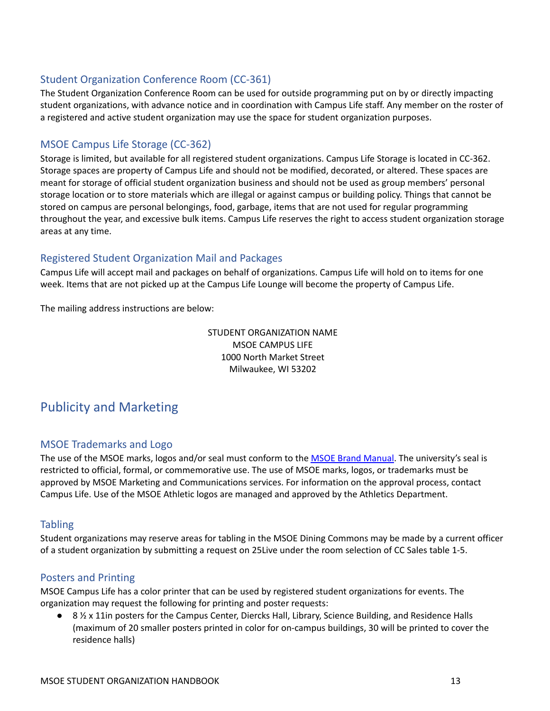#### <span id="page-13-0"></span>Student Organization Conference Room (CC-361)

The Student Organization Conference Room can be used for outside programming put on by or directly impacting student organizations, with advance notice and in coordination with Campus Life staff. Any member on the roster of a registered and active student organization may use the space for student organization purposes.

#### <span id="page-13-1"></span>MSOE Campus Life Storage (CC-362)

Storage is limited, but available for all registered student organizations. Campus Life Storage is located in CC-362. Storage spaces are property of Campus Life and should not be modified, decorated, or altered. These spaces are meant for storage of official student organization business and should not be used as group members' personal storage location or to store materials which are illegal or against campus or building policy. Things that cannot be stored on campus are personal belongings, food, garbage, items that are not used for regular programming throughout the year, and excessive bulk items. Campus Life reserves the right to access student organization storage areas at any time.

#### <span id="page-13-2"></span>Registered Student Organization Mail and Packages

Campus Life will accept mail and packages on behalf of organizations. Campus Life will hold on to items for one week. Items that are not picked up at the Campus Life Lounge will become the property of Campus Life.

The mailing address instructions are below:

STUDENT ORGANIZATION NAME MSOE CAMPUS LIFE 1000 North Market Street Milwaukee, WI 53202

## <span id="page-13-3"></span>Publicity and Marketing

#### <span id="page-13-4"></span>MSOE Trademarks and Logo

The use of the MSOE marks, logos and/or seal must conform to the **MSOE Brand Manual**. The university's seal is restricted to official, formal, or commemorative use. The use of MSOE marks, logos, or trademarks must be approved by MSOE Marketing and Communications services. For information on the approval process, contact Campus Life. Use of the MSOE Athletic logos are managed and approved by the Athletics Department.

#### <span id="page-13-5"></span>**Tabling**

Student organizations may reserve areas for tabling in the MSOE Dining Commons may be made by a current officer of a student organization by submitting a request on 25Live under the room selection of CC Sales table 1-5.

#### <span id="page-13-6"></span>Posters and Printing

MSOE Campus Life has a color printer that can be used by registered student organizations for events. The organization may request the following for printing and poster requests:

**●** 8 ½ x 11in posters for the Campus Center, Diercks Hall, Library, Science Building, and Residence Halls (maximum of 20 smaller posters printed in color for on-campus buildings, 30 will be printed to cover the residence halls)